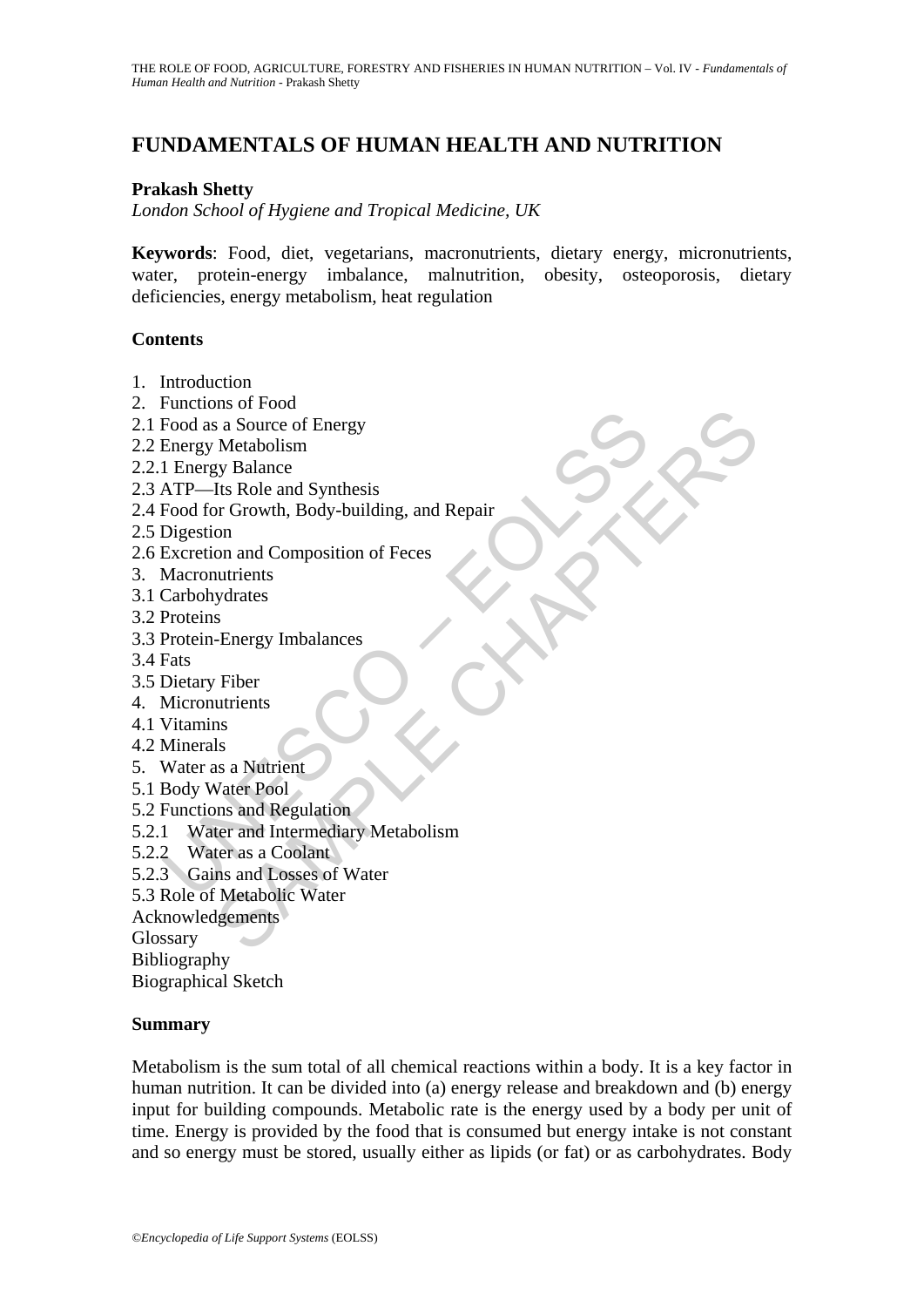# **FUNDAMENTALS OF HUMAN HEALTH AND NUTRITION**

#### **Prakash Shetty**

*London School of Hygiene and Tropical Medicine, UK* 

**Keywords**: Food, diet, vegetarians, macronutrients, dietary energy, micronutrients, water, protein-energy imbalance, malnutrition, obesity, osteoporosis, dietary deficiencies, energy metabolism, heat regulation

#### **Contents**

- 1. Introduction
- 2. Functions of Food
- 2.1 Food as a Source of Energy
- 2.2 Energy Metabolism
- 2.2.1 Energy Balance
- 2.3 ATP—Its Role and Synthesis
- Corol as a Source of Energy<br>
Frood as a Source of Energy<br>
Energy Metabolism<br>
1 Energy Metabolism<br>
1 Energy Metabolism<br>
1 Thergy Balance<br>
ATP—Its Role and Synthesis<br>
Digestion<br>
Digestion<br>
Excretion and Composition of Feces<br> Ms or Tool<br>
Sa Source of Energy<br>
Metabolism<br>
Its Role and Synthesis<br>
On On and Composition of Feces<br>
on and Composition of Feces<br>
strates<br>
sydrates<br>
s<br>
Sa a Nutrient<br>
Vater Pool<br>
Its Role and Regulation<br>
Vater Pool<br>
Lis a 2.4 Food for Growth, Body-building, and Repair
- 2.5 Digestion
- 2.6 Excretion and Composition of Feces
- 3. Macronutrients
- 3.1 Carbohydrates
- 3.2 Proteins
- 3.3 Protein-Energy Imbalances
- 3.4 Fats
- 3.5 Dietary Fiber
- 4. Micronutrients
- 4.1 Vitamins
- 4.2 Minerals
- 5. Water as a Nutrient
- 5.1 Body Water Pool
- 5.2 Functions and Regulation
- 5.2.1 Water and Intermediary Metabolism
- 5.2.2 Water as a Coolant
- 5.2.3 Gains and Losses of Water
- 5.3 Role of Metabolic Water
- Acknowledgements

Glossary

Bibliography

Biographical Sketch

#### **Summary**

Metabolism is the sum total of all chemical reactions within a body. It is a key factor in human nutrition. It can be divided into (a) energy release and breakdown and (b) energy input for building compounds. Metabolic rate is the energy used by a body per unit of time. Energy is provided by the food that is consumed but energy intake is not constant and so energy must be stored, usually either as lipids (or fat) or as carbohydrates. Body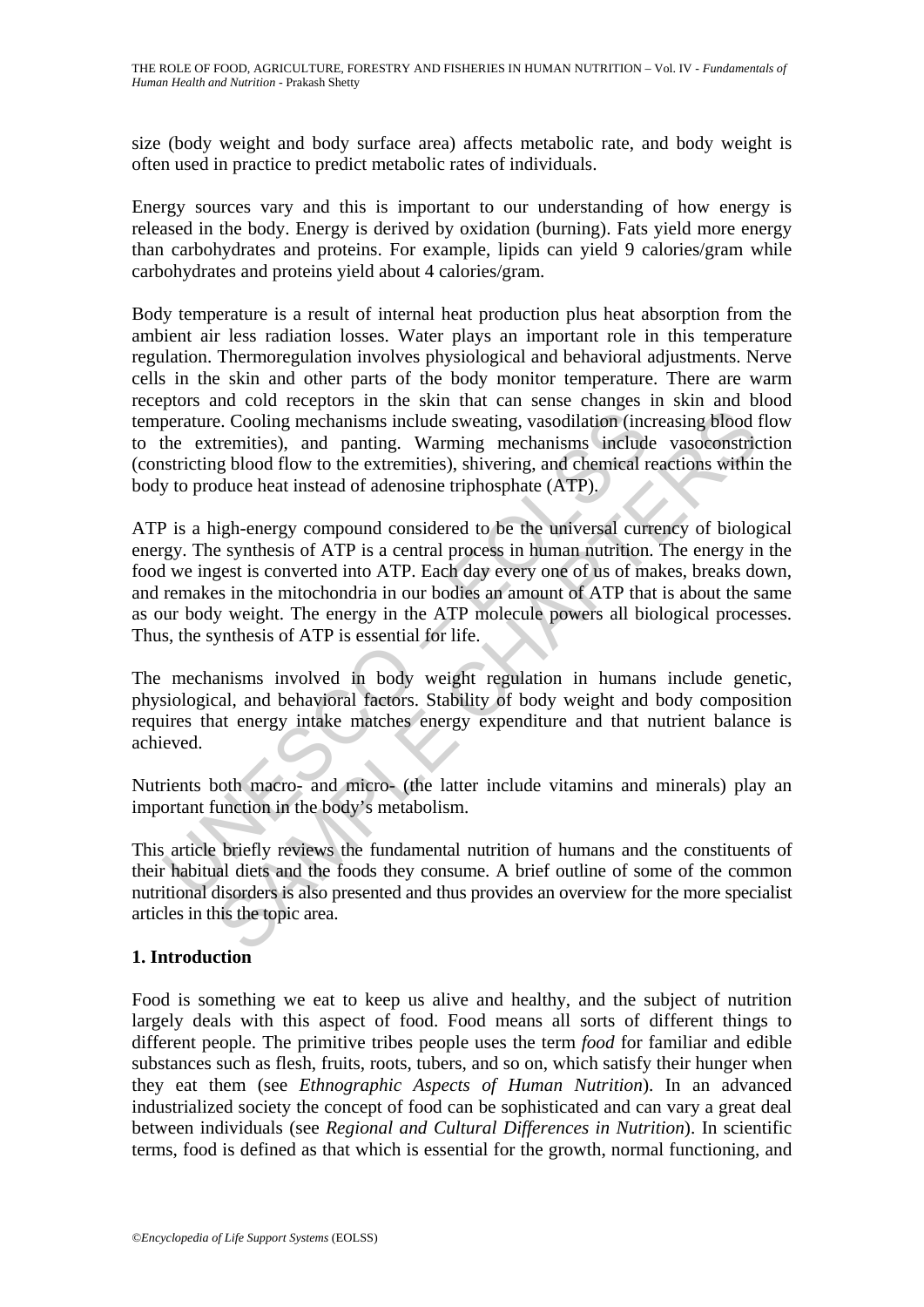size (body weight and body surface area) affects metabolic rate, and body weight is often used in practice to predict metabolic rates of individuals.

Energy sources vary and this is important to our understanding of how energy is released in the body. Energy is derived by oxidation (burning). Fats yield more energy than carbohydrates and proteins. For example, lipids can yield 9 calories/gram while carbohydrates and proteins yield about 4 calories/gram.

Body temperature is a result of internal heat production plus heat absorption from the ambient air less radiation losses. Water plays an important role in this temperature regulation. Thermoregulation involves physiological and behavioral adjustments. Nerve cells in the skin and other parts of the body monitor temperature. There are warm receptors and cold receptors in the skin that can sense changes in skin and blood temperature. Cooling mechanisms include sweating, vasodilation (increasing blood flow to the extremities), and panting. Warming mechanisms include vasoconstriction (constricting blood flow to the extremities), shivering, and chemical reactions within the body to produce heat instead of adenosine triphosphate (ATP).

Treature. Cooling mechanisms include sweating, vasodilation (include extremities), and panting. Warming mechanisms include<br>stricting blood flow to the extremities), shivering, and chemical r<br>y to produce heat instead of ad incomponent and particular simulate sweating, vasodilation (increasing blood tremities), and panting. Warming mechanisms include vasocconstrict termities), and panting. Warming mechanisms include vasocconstrict termities), ATP is a high-energy compound considered to be the universal currency of biological energy. The synthesis of ATP is a central process in human nutrition. The energy in the food we ingest is converted into ATP. Each day every one of us of makes, breaks down, and remakes in the mitochondria in our bodies an amount of ATP that is about the same as our body weight. The energy in the ATP molecule powers all biological processes. Thus, the synthesis of ATP is essential for life.

The mechanisms involved in body weight regulation in humans include genetic, physiological, and behavioral factors. Stability of body weight and body composition requires that energy intake matches energy expenditure and that nutrient balance is achieved.

Nutrients both macro- and micro- (the latter include vitamins and minerals) play an important function in the body's metabolism.

This article briefly reviews the fundamental nutrition of humans and the constituents of their habitual diets and the foods they consume. A brief outline of some of the common nutritional disorders is also presented and thus provides an overview for the more specialist articles in this the topic area.

## **1. Introduction**

Food is something we eat to keep us alive and healthy, and the subject of nutrition largely deals with this aspect of food. Food means all sorts of different things to different people. The primitive tribes people uses the term *food* for familiar and edible substances such as flesh, fruits, roots, tubers, and so on, which satisfy their hunger when they eat them (see *Ethnographic Aspects of Human Nutrition*). In an advanced industrialized society the concept of food can be sophisticated and can vary a great deal between individuals (see *Regional and Cultural Differences in Nutrition*). In scientific terms, food is defined as that which is essential for the growth, normal functioning, and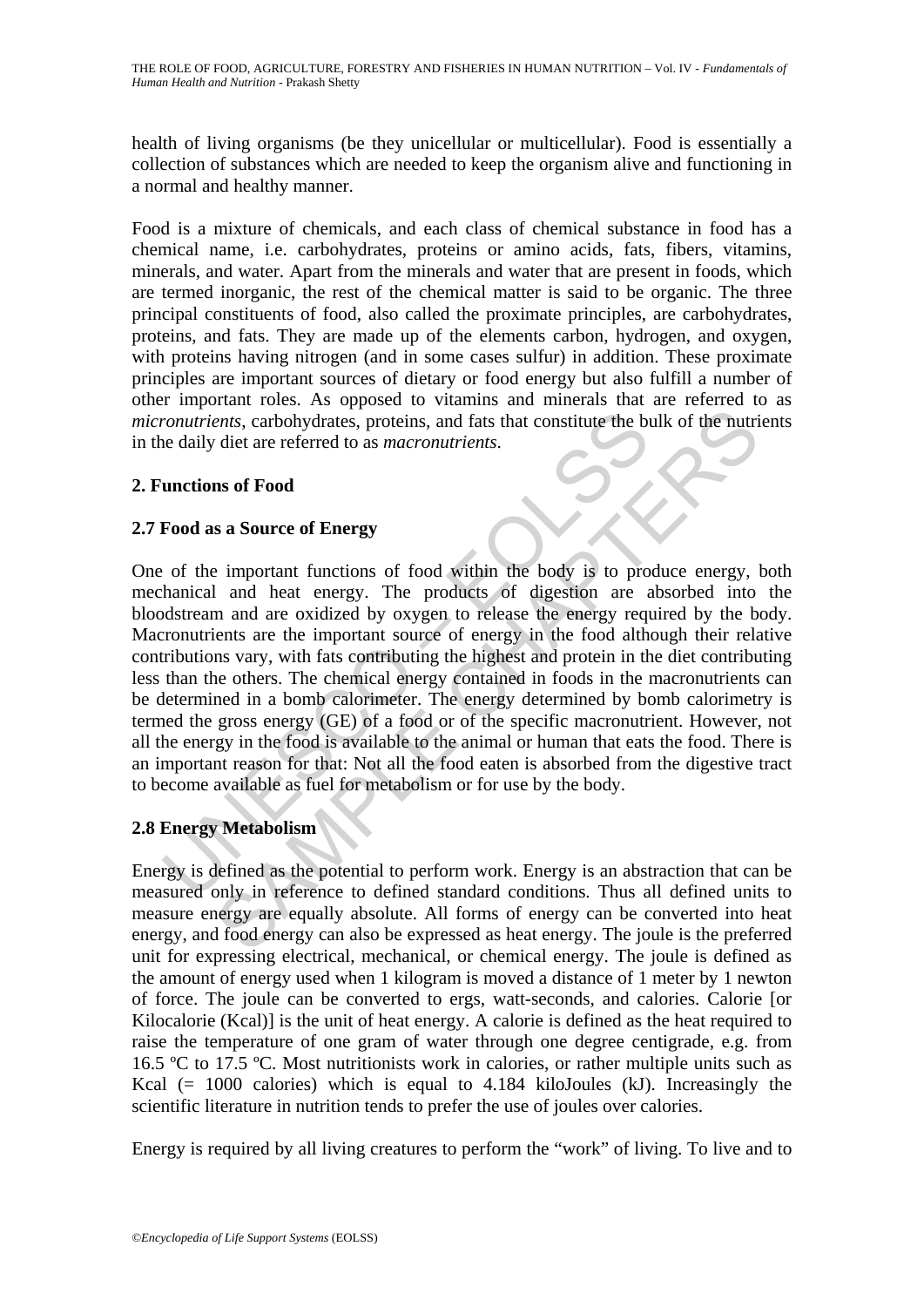health of living organisms (be they unicellular or multicellular). Food is essentially a collection of substances which are needed to keep the organism alive and functioning in a normal and healthy manner.

Food is a mixture of chemicals, and each class of chemical substance in food has a chemical name, i.e. carbohydrates, proteins or amino acids, fats, fibers, vitamins, minerals, and water. Apart from the minerals and water that are present in foods, which are termed inorganic, the rest of the chemical matter is said to be organic. The three principal constituents of food, also called the proximate principles, are carbohydrates, proteins, and fats. They are made up of the elements carbon, hydrogen, and oxygen, with proteins having nitrogen (and in some cases sulfur) in addition. These proximate principles are important sources of dietary or food energy but also fulfill a number of other important roles. As opposed to vitamins and minerals that are referred to as *micronutrients*, carbohydrates, proteins, and fats that constitute the bulk of the nutrients in the daily diet are referred to as *macronutrients*.

# **2. Functions of Food**

# **2.7 Food as a Source of Energy**

romatrients, carbohydrates, proteins, and fats that constitute the but easily diet are referred to as *macronutrients*.<br> **unctions of Food**<br> **Food as a Source of Energy**<br> **Cood as a Source of Energy**<br> **Cood as a Source of** The set of the method is a material to perform which the body is to produce energy.<br>
SAMPLE CHAPTERS AND THE PRODUCE THE PRODUCE THE PRODUCE THE PRODUCE THE PRODUCE THE PRODUCE THE PRODUCE THE PRODUCE THE PRODUCE THE PRODU One of the important functions of food within the body is to produce energy, both mechanical and heat energy. The products of digestion are absorbed into the bloodstream and are oxidized by oxygen to release the energy required by the body. Macronutrients are the important source of energy in the food although their relative contributions vary, with fats contributing the highest and protein in the diet contributing less than the others. The chemical energy contained in foods in the macronutrients can be determined in a bomb calorimeter. The energy determined by bomb calorimetry is termed the gross energy (GE) of a food or of the specific macronutrient. However, not all the energy in the food is available to the animal or human that eats the food. There is an important reason for that: Not all the food eaten is absorbed from the digestive tract to become available as fuel for metabolism or for use by the body.

## **2.8 Energy Metabolism**

Energy is defined as the potential to perform work. Energy is an abstraction that can be measured only in reference to defined standard conditions. Thus all defined units to measure energy are equally absolute. All forms of energy can be converted into heat energy, and food energy can also be expressed as heat energy. The joule is the preferred unit for expressing electrical, mechanical, or chemical energy. The joule is defined as the amount of energy used when 1 kilogram is moved a distance of 1 meter by 1 newton of force. The joule can be converted to ergs, watt-seconds, and calories. Calorie [or Kilocalorie (Kcal)] is the unit of heat energy. A calorie is defined as the heat required to raise the temperature of one gram of water through one degree centigrade, e.g. from 16.5 ºC to 17.5 ºC. Most nutritionists work in calories, or rather multiple units such as Kcal  $(= 1000 \text{ calories})$  which is equal to 4.184 kiloJoules (kJ). Increasingly the scientific literature in nutrition tends to prefer the use of joules over calories.

Energy is required by all living creatures to perform the "work" of living. To live and to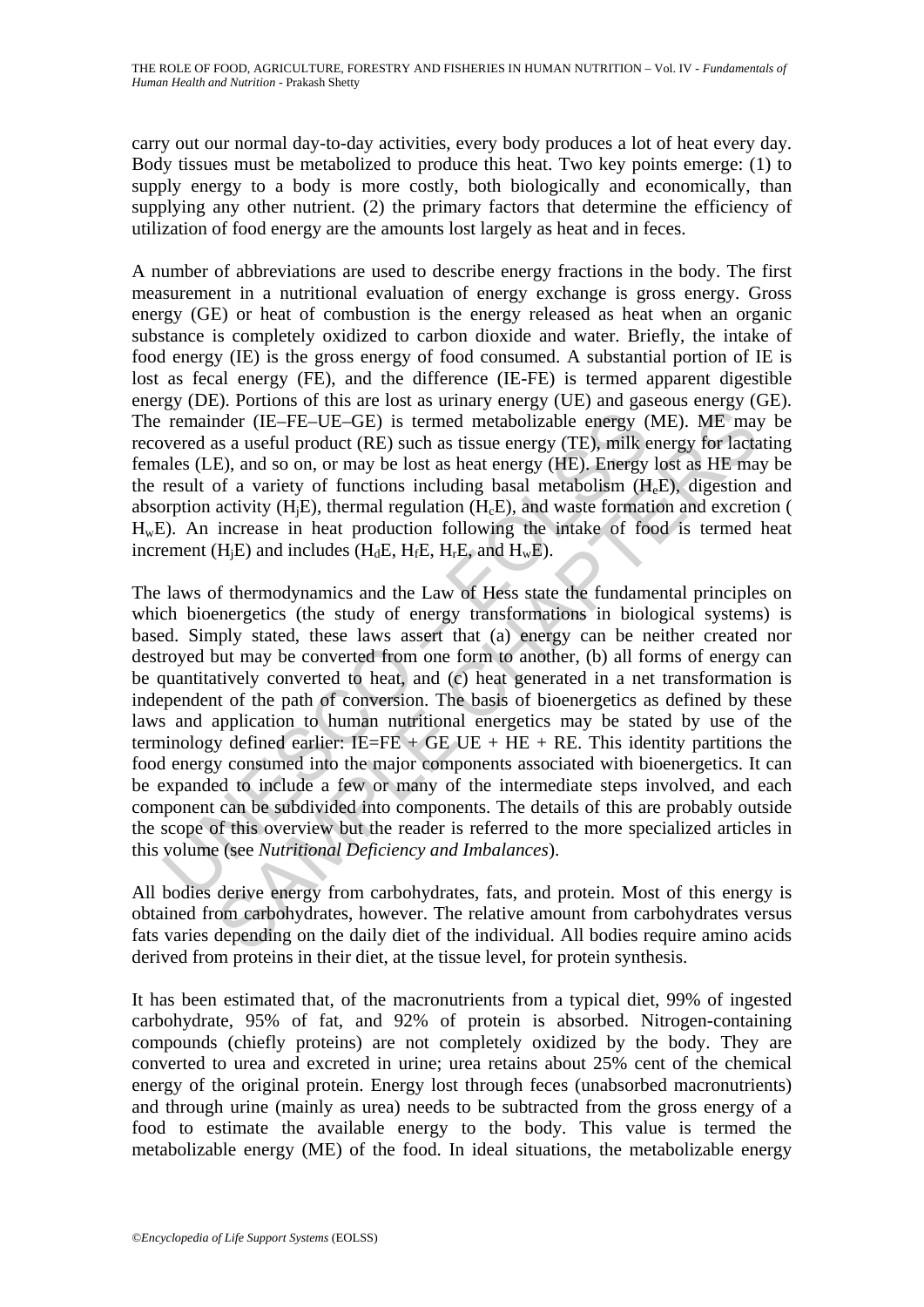carry out our normal day-to-day activities, every body produces a lot of heat every day. Body tissues must be metabolized to produce this heat. Two key points emerge: (1) to supply energy to a body is more costly, both biologically and economically, than supplying any other nutrient. (2) the primary factors that determine the efficiency of utilization of food energy are the amounts lost largely as heat and in feces.

A number of abbreviations are used to describe energy fractions in the body. The first measurement in a nutritional evaluation of energy exchange is gross energy. Gross energy (GE) or heat of combustion is the energy released as heat when an organic substance is completely oxidized to carbon dioxide and water. Briefly, the intake of food energy (IE) is the gross energy of food consumed. A substantial portion of IE is lost as fecal energy (FE), and the difference (IE-FE) is termed apparent digestible energy (DE). Portions of this are lost as urinary energy (UE) and gaseous energy (GE). The remainder (IE–FE–UE–GE) is termed metabolizable energy (ME). ME may be recovered as a useful product (RE) such as tissue energy (TE), milk energy for lactating females (LE), and so on, or may be lost as heat energy (HE). Energy lost as HE may be the result of a variety of functions including basal metabolism (HeE), digestion and absorption activity  $(H_iE)$ , thermal regulation  $(H_cE)$ , and waste formation and excretion (  $H<sub>w</sub>E$ ). An increase in heat production following the intake of food is termed heat increment (H<sub>i</sub>E) and includes (H<sub>d</sub>E, H<sub>f</sub>E, H<sub>r</sub>E, and H<sub>w</sub>E).

remainder (IE–FE–UE–GE) is termed metabolizable energy (wered as a useful product (RE) such as tissue energy (TE), milk eales (LE), and so on, or may be lost as heat energy (TE), milk eales (LE), and so on, or may be lost onder (IE-FE-UE-GE) is termed metabolizable energy (ME). ME may<br>as a useful product (RE) such as tissue energy (TE), milk energy (ME). ME may<br>as a useful product (RE) such as tissue energy (TE), milk energy for lact<br>E), a The laws of thermodynamics and the Law of Hess state the fundamental principles on which bioenergetics (the study of energy transformations in biological systems) is based. Simply stated, these laws assert that (a) energy can be neither created nor destroyed but may be converted from one form to another, (b) all forms of energy can be quantitatively converted to heat, and (c) heat generated in a net transformation is independent of the path of conversion. The basis of bioenergetics as defined by these laws and application to human nutritional energetics may be stated by use of the terminology defined earlier:  $IE=FE + GE$  UE + HE + RE. This identity partitions the food energy consumed into the major components associated with bioenergetics. It can be expanded to include a few or many of the intermediate steps involved, and each component can be subdivided into components. The details of this are probably outside the scope of this overview but the reader is referred to the more specialized articles in this volume (see *Nutritional Deficiency and Imbalances*).

All bodies derive energy from carbohydrates, fats, and protein. Most of this energy is obtained from carbohydrates, however. The relative amount from carbohydrates versus fats varies depending on the daily diet of the individual. All bodies require amino acids derived from proteins in their diet, at the tissue level, for protein synthesis.

It has been estimated that, of the macronutrients from a typical diet, 99% of ingested carbohydrate, 95% of fat, and 92% of protein is absorbed. Nitrogen-containing compounds (chiefly proteins) are not completely oxidized by the body. They are converted to urea and excreted in urine; urea retains about 25% cent of the chemical energy of the original protein. Energy lost through feces (unabsorbed macronutrients) and through urine (mainly as urea) needs to be subtracted from the gross energy of a food to estimate the available energy to the body. This value is termed the metabolizable energy (ME) of the food. In ideal situations, the metabolizable energy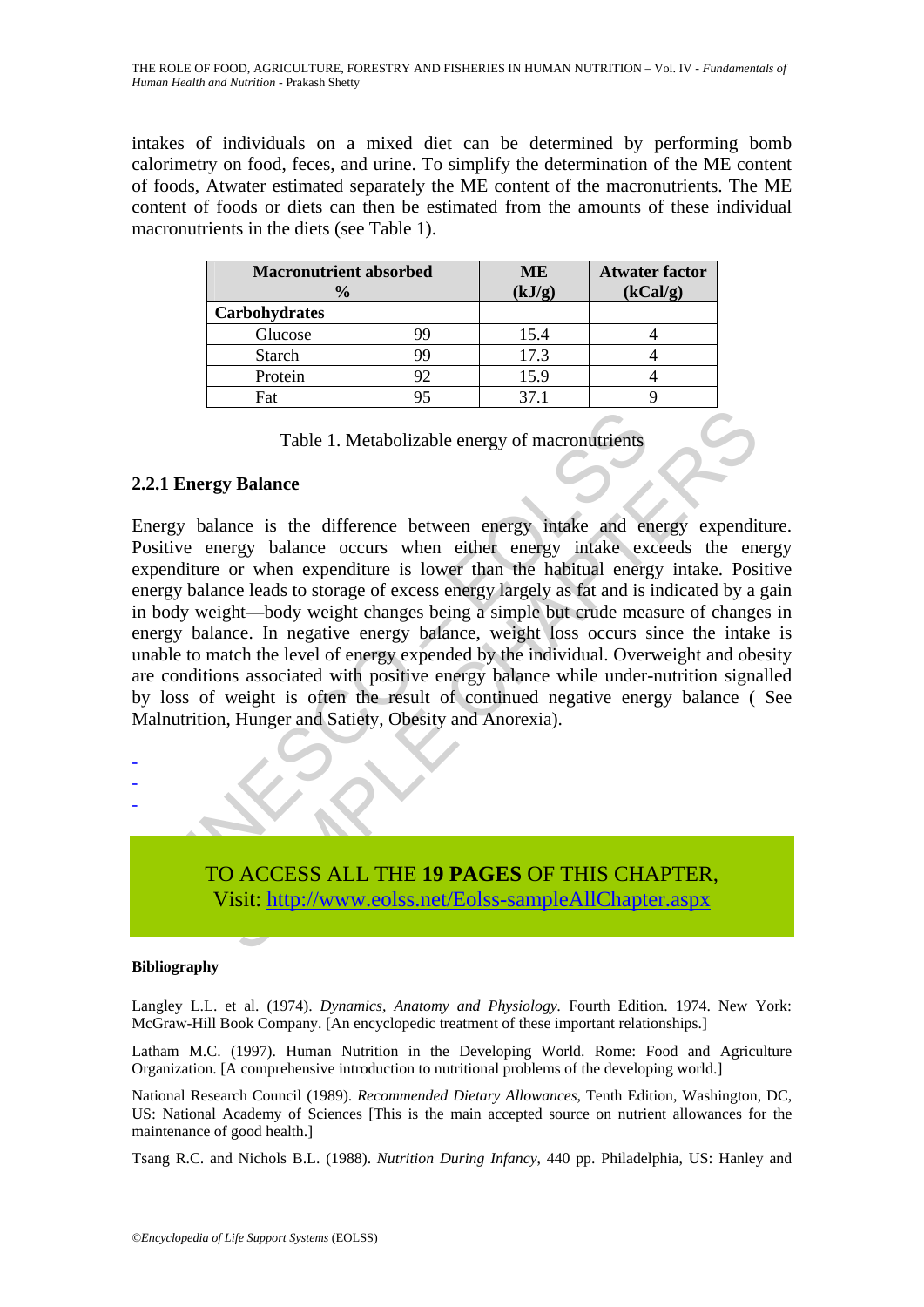intakes of individuals on a mixed diet can be determined by performing bomb calorimetry on food, feces, and urine. To simplify the determination of the ME content of foods, Atwater estimated separately the ME content of the macronutrients. The ME content of foods or diets can then be estimated from the amounts of these individual macronutrients in the diets (see Table 1).

| <b>Macronutrient absorbed</b><br>$\frac{0}{0}$ |    | <b>ME</b><br>(kJ/g) | <b>Atwater factor</b><br>(kCal/g) |
|------------------------------------------------|----|---------------------|-----------------------------------|
| Carbohydrates                                  |    |                     |                                   |
| Glucose                                        | 99 | 15.4                |                                   |
| <b>Starch</b>                                  | 99 | 17.3                |                                   |
| Protein                                        | 92 | 15.9                |                                   |
| Fat                                            |    |                     |                                   |

Table 1. Metabolizable energy of macronutrients

## **2.2.1 Energy Balance**

Table 1. Metabolizable energy of macronutrients<br>
1 Energy Balance<br>
1 Energy Balance<br>
1 Energy balance is the difference between energy intake and erergy balance is the difference between energy intake ex<br>
enditure or when Table 1. Metabolizable energy of macronautients<br>
gy Balance<br>
lance is the difference between energy indake and energy expending<br>
nergy balance cocurs when either energy intake exceeds the energy<br>
or when expediture is lowe Energy balance is the difference between energy intake and energy expenditure. Positive energy balance occurs when either energy intake exceeds the energy expenditure or when expenditure is lower than the habitual energy intake. Positive energy balance leads to storage of excess energy largely as fat and is indicated by a gain in body weight—body weight changes being a simple but crude measure of changes in energy balance. In negative energy balance, weight loss occurs since the intake is unable to match the level of energy expended by the individual. Overweight and obesity are conditions associated with positive energy balance while under-nutrition signalled by loss of weight is often the result of continued negative energy balance ( See Malnutrition, Hunger and Satiety, Obesity and Anorexia).



#### **Bibliography**

- - -

Langley L.L. et al. (1974). *Dynamics, Anatomy and Physiology.* Fourth Edition. 1974. New York: McGraw-Hill Book Company. [An encyclopedic treatment of these important relationships.]

Latham M.C. (1997). Human Nutrition in the Developing World. Rome: Food and Agriculture Organization. [A comprehensive introduction to nutritional problems of the developing world.]

National Research Council (1989). *Recommended Dietary Allowances*, Tenth Edition, Washington, DC, US: National Academy of Sciences [This is the main accepted source on nutrient allowances for the maintenance of good health.]

Tsang R.C. and Nichols B.L. (1988). *Nutrition During Infancy*, 440 pp. Philadelphia, US: Hanley and